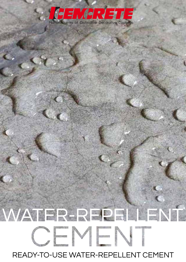# R Manufacturers of Distinctive Decorative Coatings

# WATER-REPELLENT CEMENT READY-TO-USE WATER-REPELLENT CEMENT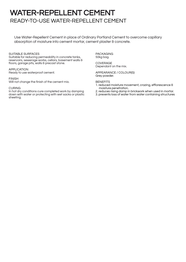# WATER-REPELLENT CEMENT READY-TO-USE WATER-REPELLENT CEMENT

Use Water-Repellent Cement in place of Ordinary Portland Cement to overcome capillary absorption of moisture into cement mortar, cement plaster & concrete.

#### SUITABLE SURFACES

Suitable for reducing permeability in concrete tanks, reservoirs, sewerage works, cellars, basement walls & floors, garage pits, walls & precast stone.

#### APPLICATION

Ready to use waterproof cement.

#### FINISH

Will not change the finish of the cement mix.

#### CURING

In hot dry conditions cure completed work by damping down with water or protecting with wet sacks or plastic sheeting.

PACKAGING 50kg bag.

COVERAGE Dependant on the mix.

APPEARANCE / COLOUR(S) Grey powder.

#### **BENEFITS**

- 1. reduced moisture movement, crazing, efflorescence & moisture penetration.
- 2. reduces rising damp in brickwork when used in mortar.
- 3. prevents loss of water from water containing structures